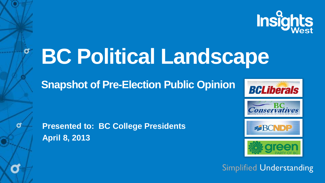

# **BC Political Landscape**

**Snapshot of Pre-Election Public Opinion**



**Presented to: BC College Presidents April 8, 2013**



Conservatives

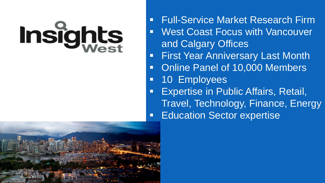# Insights

- Full-Service Market Research Firm West Coast Focus with Vancouver
- and Calgary Offices
- First Year Anniversary Last Month
- Online Panel of 10,000 Members
- 10 Employees
- Expertise in Public Affairs, Retail, Travel, Technology, Finance, Energy Education Sector expertise

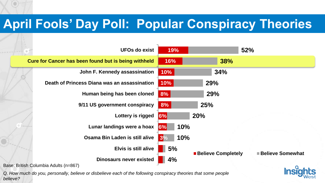### **April Fools' Day Poll: Popular Conspiracy Theories**



*Q. How much do you, personally, believe or disbelieve each of the following conspiracy theories that some people believe?*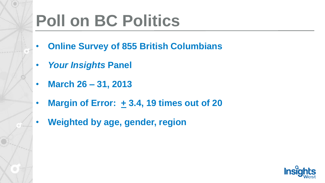# **Poll on BC Politics**

- **Online Survey of 855 British Columbians**
- *Your Insights* **Panel**
- **March 26 – 31, 2013**
- **Margin of Error: + 3.4, 19 times out of 20**
- **Weighted by age, gender, region**

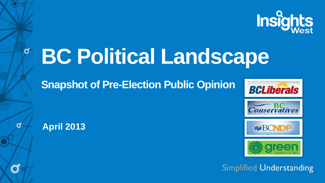

# **BC Political Landscape**

**Snapshot of Pre-Election Public Opinion**

**April 2013**

σ







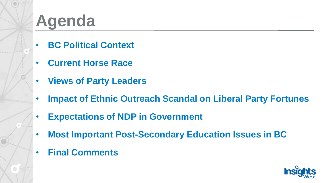## **Agenda**

- **BC Political Context**
- **Current Horse Race**
- **Views of Party Leaders**
- **Impact of Ethnic Outreach Scandal on Liberal Party Fortunes**
- **Expectations of NDP in Government**
- **Most Important Post-Secondary Education Issues in BC**
- **Final Comments**

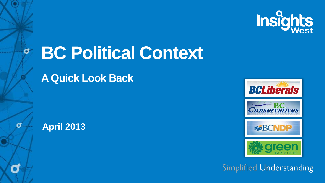

# **BC Political Context**

**A Quick Look Back**



 $\sigma$ 

σ

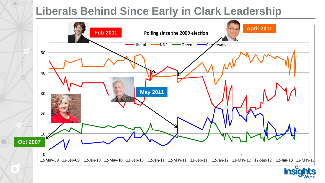#### **Liberals Behind Since Early in Clark Leadership**



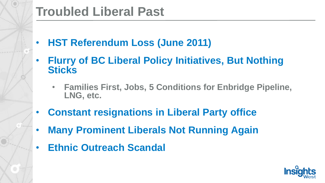#### **Troubled Liberal Past**

- **HST Referendum Loss (June 2011)**
- **Flurry of BC Liberal Policy Initiatives, But Nothing Sticks**
	- **Families First, Jobs, 5 Conditions for Enbridge Pipeline, LNG, etc.**
- **Constant resignations in Liberal Party office**
- **Many Prominent Liberals Not Running Again**
- **Ethnic Outreach Scandal**

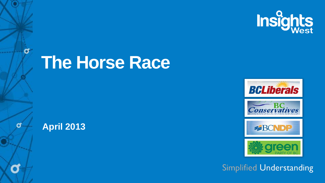

## **The Horse Race**



 $\sigma$ 

đ

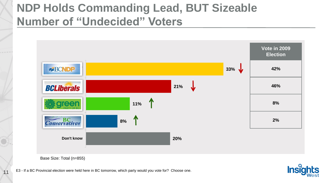#### **NDP Holds Commanding Lead, BUT Sizeable Number of "Undecided" Voters**



Base Size: Total (n=855)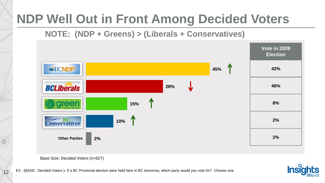## **NDP Well Out in Front Among Decided Voters**

#### **NOTE: (NDP + Greens) > (Liberals + Conservatives)**



Base Size: Decided Voters (n=627)

E3 - (BASE: Decided Voters )- If a BC Provincial election were held here in BC tomorrow, which party would you vote for? Choose one.



12

.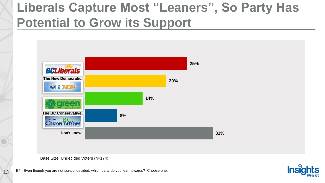## **Liberals Capture Most "Leaners", So Party Has Potential to Grow its Support**



Base Size: Undecided Voters (n=174)

13 E4 - Even though you are not sure/undecided, which party do you lean towards? Choose one.

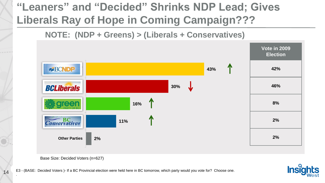#### **"Leaners" and "Decided" Shrinks NDP Lead; Gives Liberals Ray of Hope in Coming Campaign???**

**NOTE: (NDP + Greens) > (Liberals + Conservatives)**



Base Size: Decided Voters (n=627)

E3 - (BASE: Decided Voters )- If a BC Provincial election were held here in BC tomorrow, which party would you vote for? Choose one.



14

.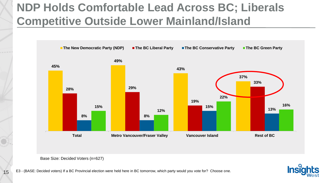#### **NDP Holds Comfortable Lead Across BC; Liberals Competitive Outside Lower Mainland/Island**





Base Size: Decided Voters (n=627)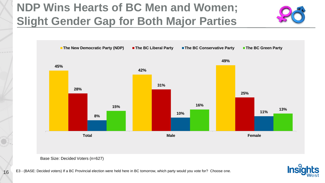#### **NDP Wins Hearts of BC Men and Women; Slight Gender Gap for Both Major Parties**



Base Size: Decided Voters (n=627)

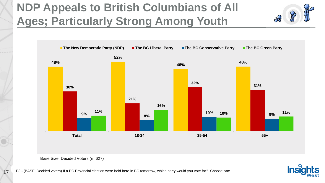#### **NDP Appeals to British Columbians of All Ages; Particularly Strong Among Youth**



Base Size: Decided Voters (n=627)

17

E3 - (BASE: Decided voters) If a BC Provincial election were held here in BC tomorrow, which party would you vote for? Choose one.

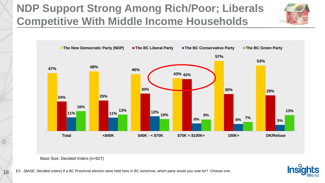#### **NDP Support Strong Among Rich/Poor; Liberals Competitive With Middle Income Households**







Base Size: Decided Voters (n=627)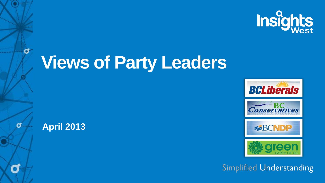

# **Views of Party Leaders**



 $\sigma$ 

đ







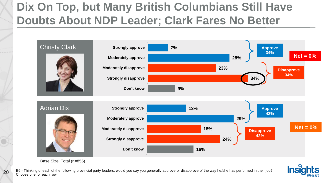#### **Dix On Top, but Many British Columbians Still Have Doubts About NDP Leader; Clark Fares No Better**



Base Size: Total (n=855)

20

E6 - Thinking of each of the following provincial party leaders, would you say you generally approve or disapprove of the way he/she has performed in their job? Choose one for each row.

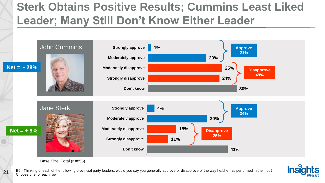#### **Sterk Obtains Positive Results; Cummins Least Liked Leader; Many Still Don't Know Either Leader**



Base Size: Total (n=855)

E6 - Thinking of each of the following provincial party leaders, would you say you generally approve or disapprove of the way he/she has performed in their job? 21 E<sup>6</sup> - I hinking of each of the 21 E<sup>6</sup> - I hinking of each row.

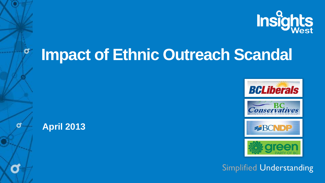

## **Impact of Ethnic Outreach Scandal**



σ

đ



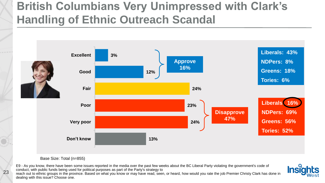#### **British Columbians Very Unimpressed with Clark's Handling of Ethnic Outreach Scandal**





#### Base Size: Total (n=855)

E9 - As you know, there have been some issues reported in the media over the past few weeks about the BC Liberal Party violating the government's code of conduct, with public funds being used for political purposes as part of the Party's strategy to

reach out to ethnic groups in the province. Based on what you know or may have read, seen, or heard, how would you rate the job Premier Christy Clark has done in dealing with this issue? Choose one.

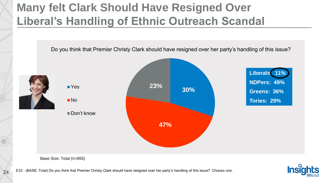#### **Many felt Clark Should Have Resigned Over Liberal's Handling of Ethnic Outreach Scandal**



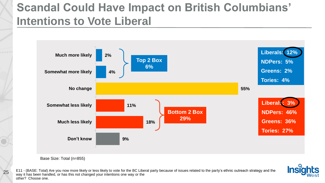#### **Scandal Could Have Impact on British Columbians' Intentions to Vote Liberal**





25

E11 - (BASE: Total) Are you now more likely or less likely to vote for the BC Liberal party because of issues related to the party's ethnic outreach strategy and the way it has been handled, or has this not changed your intentions one way or the other? Choose one.

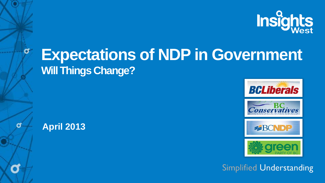

## **Expectations of NDP in Government Will Things Change?**



 $\sigma$ 

σ

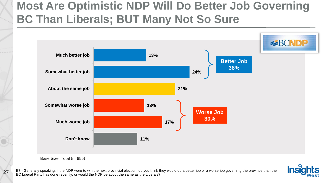#### **Most Are Optimistic NDP Will Do Better Job Governing BC Than Liberals; BUT Many Not So Sure**



Base Size: Total (n=855)

27

E7 - Generally speaking, if the NDP were to win the next provincial election, do you think they would do a better job or a worse job governing the province than the BC Liberal Party has done recently, or would the NDP be about the same as the Liberals?

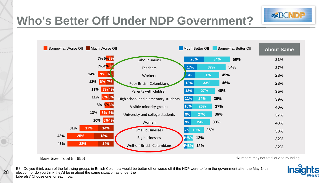

#### **Who's Better Off Under NDP Government?**



28

\*Numbers may not total due to rounding.

E8 - Do you think each of the following groups in British Columbia would be better off or worse off if the NDP were to form the government after the May 14th election, or do you think they'd be in about the same situation as under the Liberals? Choose one for each row.

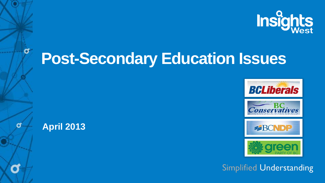

## **Post-Secondary Education Issues**



σ

đ



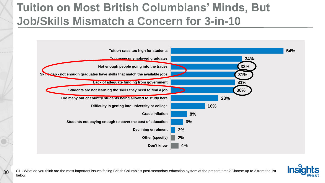#### **Tuition on Most British Columbians' Minds, But Job/Skills Mismatch a Concern for 3-in-10**



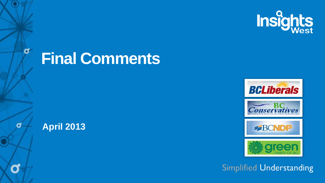

## **Final Comments**



 $\sigma$ 

σ



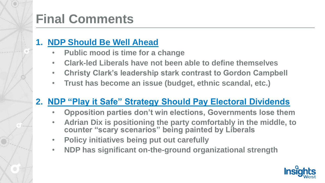## **Final Comments**

#### **1. NDP Should Be Well Ahead**

- **Public mood is time for a change**
- **Clark-led Liberals have not been able to define themselves**
- **Christy Clark's leadership stark contrast to Gordon Campbell**
- **Trust has become an issue (budget, ethnic scandal, etc.)**

#### **2. NDP "Play it Safe" Strategy Should Pay Electoral Dividends**

- **Opposition parties don't win elections, Governments lose them**
- **Adrian Dix is positioning the party comfortably in the middle, to counter "scary scenarios" being painted by Liberals**
- **Policy initiatives being put out carefully**
- **NDP has significant on-the-ground organizational strength**